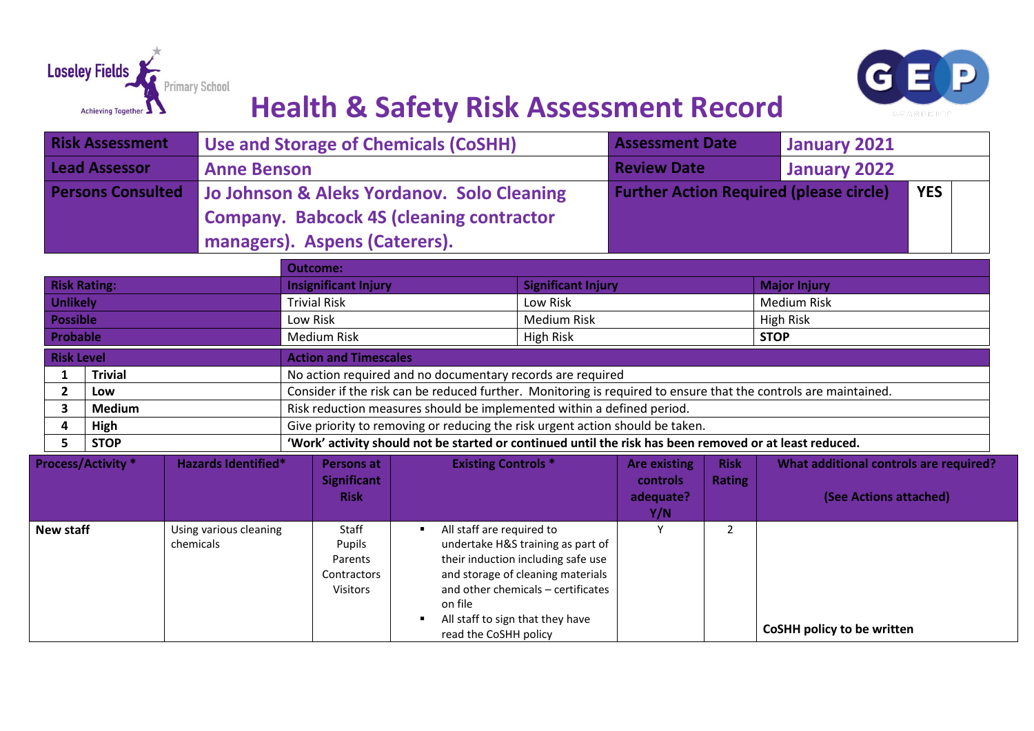



|                                                                               |                 | <b>Risk Assessment</b> |                                     | <b>Use and Storage of Chemicals (CoSHH)</b>                                                                     |                                                               |                                                                                                                                                                                        | <b>Assessment Date</b>                                       |                              | <b>January 2021</b>                                                     |  |
|-------------------------------------------------------------------------------|-----------------|------------------------|-------------------------------------|-----------------------------------------------------------------------------------------------------------------|---------------------------------------------------------------|----------------------------------------------------------------------------------------------------------------------------------------------------------------------------------------|--------------------------------------------------------------|------------------------------|-------------------------------------------------------------------------|--|
| <b>Lead Assessor</b>                                                          |                 |                        | <b>Anne Benson</b>                  |                                                                                                                 |                                                               |                                                                                                                                                                                        | <b>Review Date</b>                                           |                              | <b>January 2022</b>                                                     |  |
| <b>Persons Consulted</b>                                                      |                 |                        |                                     | Jo Johnson & Aleks Yordanov. Solo Cleaning<br><b>Company. Babcock 4S (cleaning contractor</b>                   |                                                               |                                                                                                                                                                                        | <b>Further Action Required (please circle)</b><br><b>YES</b> |                              |                                                                         |  |
|                                                                               |                 |                        |                                     | managers). Aspens (Caterers).                                                                                   |                                                               |                                                                                                                                                                                        |                                                              |                              |                                                                         |  |
|                                                                               |                 |                        |                                     | <b>Outcome:</b>                                                                                                 |                                                               |                                                                                                                                                                                        |                                                              |                              |                                                                         |  |
| <b>Risk Rating:</b><br><b>Unlikely</b>                                        |                 |                        |                                     | <b>Insignificant Injury</b><br><b>Trivial Risk</b>                                                              |                                                               | <b>Significant Injury</b><br>Low Risk                                                                                                                                                  |                                                              |                              | <b>Major Injury</b><br><b>Medium Risk</b>                               |  |
|                                                                               |                 |                        |                                     |                                                                                                                 |                                                               |                                                                                                                                                                                        |                                                              |                              |                                                                         |  |
|                                                                               | <b>Possible</b> |                        |                                     | Low Risk<br><b>Medium Risk</b>                                                                                  |                                                               | <b>Medium Risk</b><br><b>High Risk</b>                                                                                                                                                 |                                                              |                              | <b>High Risk</b><br><b>STOP</b>                                         |  |
|                                                                               | <b>Probable</b> |                        |                                     |                                                                                                                 |                                                               |                                                                                                                                                                                        |                                                              |                              |                                                                         |  |
|                                                                               |                 | <b>Risk Level</b>      |                                     | <b>Action and Timescales</b>                                                                                    |                                                               |                                                                                                                                                                                        |                                                              |                              |                                                                         |  |
| <b>Trivial</b><br>1<br>$\overline{2}$<br>Low<br>$\mathbf{3}$<br><b>Medium</b> |                 |                        |                                     | No action required and no documentary records are required                                                      |                                                               |                                                                                                                                                                                        |                                                              |                              |                                                                         |  |
|                                                                               |                 |                        |                                     | Consider if the risk can be reduced further. Monitoring is required to ensure that the controls are maintained. |                                                               |                                                                                                                                                                                        |                                                              |                              |                                                                         |  |
|                                                                               |                 |                        |                                     | Risk reduction measures should be implemented within a defined period.                                          |                                                               |                                                                                                                                                                                        |                                                              |                              |                                                                         |  |
|                                                                               | 4               | High                   |                                     | Give priority to removing or reducing the risk urgent action should be taken.                                   |                                                               |                                                                                                                                                                                        |                                                              |                              |                                                                         |  |
|                                                                               | 5               | <b>STOP</b>            |                                     | 'Work' activity should not be started or continued until the risk has been removed or at least reduced.         |                                                               |                                                                                                                                                                                        |                                                              |                              |                                                                         |  |
| <b>Process/Activity *</b>                                                     |                 |                        | <b>Hazards Identified*</b>          | <b>Persons at</b><br><b>Significant</b><br><b>Risk</b>                                                          | <b>Existing Controls *</b>                                    |                                                                                                                                                                                        | <b>Are existing</b><br><b>controls</b><br>adequate?<br>Y/N   | <b>Risk</b><br><b>Rating</b> | <b>What additional controls are required?</b><br>(See Actions attached) |  |
| <b>New staff</b>                                                              |                 |                        | Using various cleaning<br>chemicals | Staff<br>Pupils<br>Parents<br>Contractors<br><b>Visitors</b>                                                    | All staff are required to<br>on file<br>read the CoSHH policy | undertake H&S training as part of<br>their induction including safe use<br>and storage of cleaning materials<br>and other chemicals - certificates<br>All staff to sign that they have | Υ                                                            | $\overline{2}$               | CoSHH policy to be written                                              |  |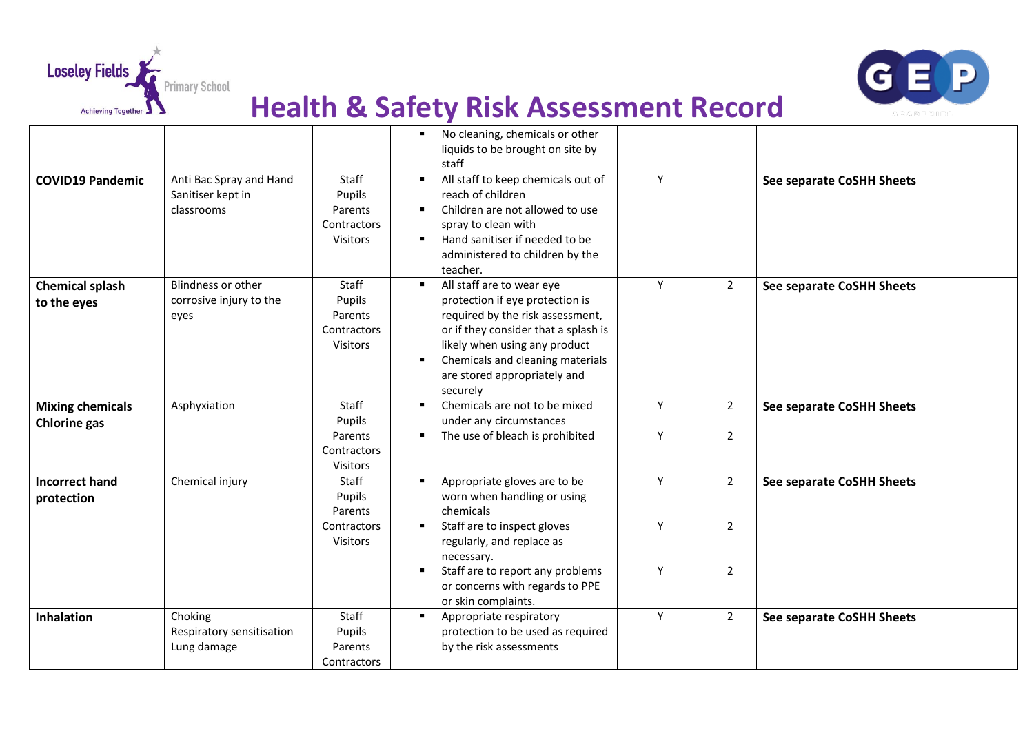



|                                                |                                                            |                                                              | No cleaning, chemicals or other<br>liquids to be brought on site by<br>staff                                                                                                                                                                              |        |                                  |                                  |
|------------------------------------------------|------------------------------------------------------------|--------------------------------------------------------------|-----------------------------------------------------------------------------------------------------------------------------------------------------------------------------------------------------------------------------------------------------------|--------|----------------------------------|----------------------------------|
| <b>COVID19 Pandemic</b>                        | Anti Bac Spray and Hand<br>Sanitiser kept in<br>classrooms | Staff<br>Pupils<br>Parents<br>Contractors<br><b>Visitors</b> | All staff to keep chemicals out of<br>reach of children<br>Children are not allowed to use<br>spray to clean with<br>Hand sanitiser if needed to be<br>administered to children by the<br>teacher.                                                        | Y      |                                  | See separate CoSHH Sheets        |
| <b>Chemical splash</b><br>to the eyes          | Blindness or other<br>corrosive injury to the<br>eyes      | Staff<br>Pupils<br>Parents<br>Contractors<br>Visitors        | All staff are to wear eye<br>protection if eye protection is<br>required by the risk assessment,<br>or if they consider that a splash is<br>likely when using any product<br>Chemicals and cleaning materials<br>are stored appropriately and<br>securely | Y      | $\overline{2}$                   | See separate CoSHH Sheets        |
| <b>Mixing chemicals</b><br><b>Chlorine gas</b> | Asphyxiation                                               | Staff<br>Pupils<br>Parents<br>Contractors                    | Chemicals are not to be mixed<br>under any circumstances<br>The use of bleach is prohibited<br>٠                                                                                                                                                          | Y<br>Υ | $\overline{2}$<br>$\overline{2}$ | <b>See separate CoSHH Sheets</b> |
| <b>Incorrect hand</b><br>protection            | Chemical injury                                            | Visitors<br>Staff<br>Pupils<br>Parents                       | Appropriate gloves are to be<br>worn when handling or using<br>chemicals                                                                                                                                                                                  | Y      | $\overline{2}$                   | <b>See separate CoSHH Sheets</b> |
|                                                |                                                            | Contractors<br><b>Visitors</b>                               | Staff are to inspect gloves<br>regularly, and replace as<br>necessary.<br>Staff are to report any problems<br>or concerns with regards to PPE<br>or skin complaints.                                                                                      | Y<br>Υ | $\overline{2}$<br>$\overline{2}$ |                                  |
| Inhalation                                     | Choking<br>Respiratory sensitisation<br>Lung damage        | Staff<br>Pupils<br>Parents<br>Contractors                    | Appropriate respiratory<br>protection to be used as required<br>by the risk assessments                                                                                                                                                                   | Y      | $\overline{2}$                   | <b>See separate CoSHH Sheets</b> |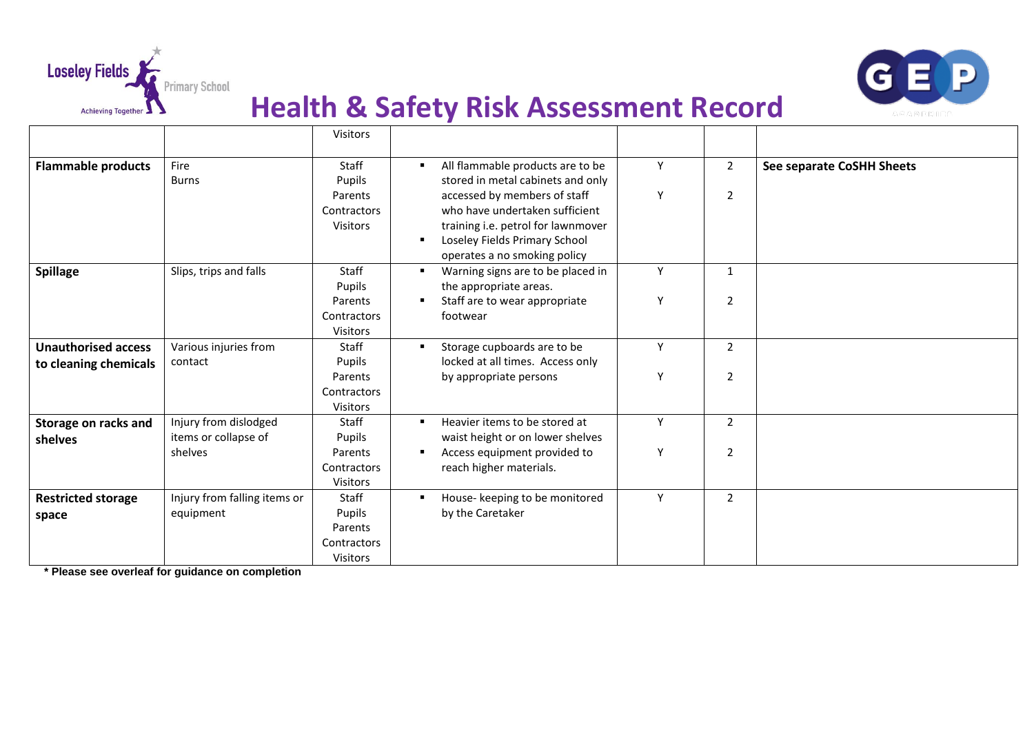



|                                    |                                               | Visitors                                  |                                                                                                                                                                       |   |                |                           |
|------------------------------------|-----------------------------------------------|-------------------------------------------|-----------------------------------------------------------------------------------------------------------------------------------------------------------------------|---|----------------|---------------------------|
| <b>Flammable products</b>          | Fire<br><b>Burns</b>                          | Staff<br>Pupils                           | All flammable products are to be<br>stored in metal cabinets and only                                                                                                 | Y | $\overline{2}$ | See separate CoSHH Sheets |
|                                    |                                               | Parents<br>Contractors<br><b>Visitors</b> | accessed by members of staff<br>who have undertaken sufficient<br>training i.e. petrol for lawnmover<br>Loseley Fields Primary School<br>operates a no smoking policy | Y | $\overline{2}$ |                           |
| <b>Spillage</b>                    | Slips, trips and falls                        | Staff<br>Pupils                           | Warning signs are to be placed in<br>the appropriate areas.                                                                                                           | Y | $\mathbf{1}$   |                           |
|                                    |                                               | Parents<br>Contractors<br><b>Visitors</b> | Staff are to wear appropriate<br>footwear                                                                                                                             | Y | $\overline{2}$ |                           |
| <b>Unauthorised access</b>         | Various injuries from                         | Staff                                     | Storage cupboards are to be                                                                                                                                           | Y | $\overline{2}$ |                           |
| to cleaning chemicals              | contact                                       | Pupils<br>Parents                         | locked at all times. Access only<br>by appropriate persons                                                                                                            | Y | 2              |                           |
|                                    |                                               | Contractors<br><b>Visitors</b>            |                                                                                                                                                                       |   |                |                           |
| Storage on racks and<br>shelves    | Injury from dislodged<br>items or collapse of | Staff<br>Pupils                           | Heavier items to be stored at<br>waist height or on lower shelves                                                                                                     | Y | $\overline{2}$ |                           |
|                                    | shelves                                       | Parents<br>Contractors<br><b>Visitors</b> | Access equipment provided to<br>reach higher materials.                                                                                                               | Y | $\overline{2}$ |                           |
| <b>Restricted storage</b><br>space | Injury from falling items or<br>equipment     | Staff<br>Pupils                           | House- keeping to be monitored<br>by the Caretaker                                                                                                                    | Y | $\overline{2}$ |                           |
|                                    |                                               | Parents<br>Contractors<br><b>Visitors</b> |                                                                                                                                                                       |   |                |                           |

**\* Please see overleaf for guidance on completion**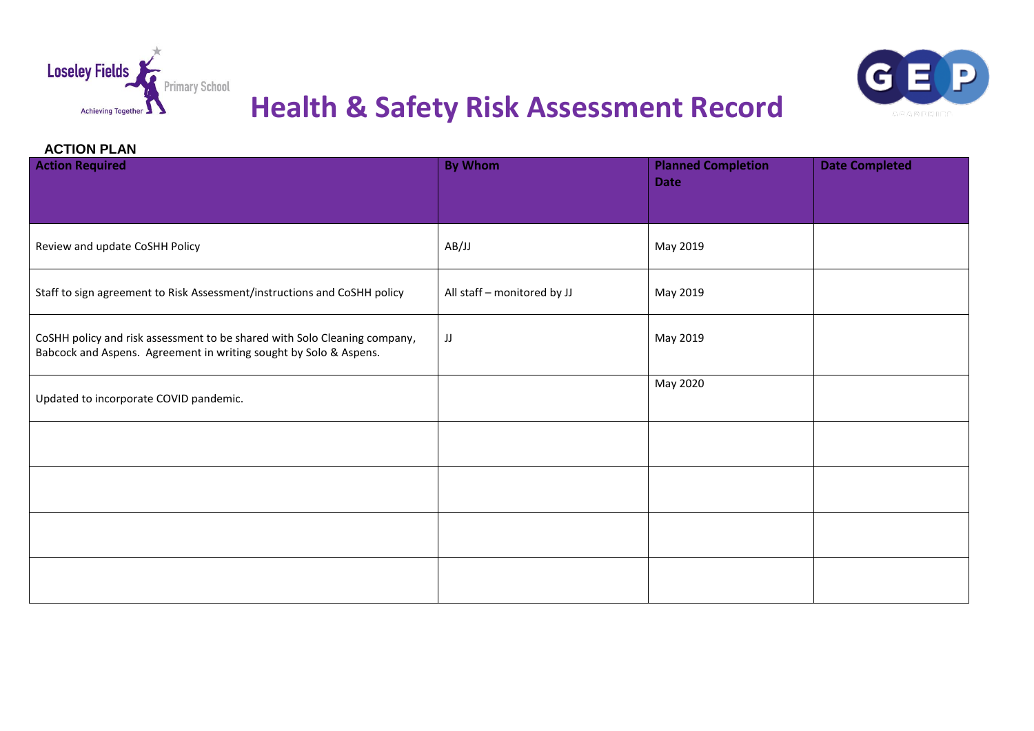



#### **ACTION PLAN**

| <b>Action Required</b>                                                                                                                         | <b>By Whom</b>              | <b>Planned Completion</b><br><b>Date</b> | <b>Date Completed</b> |
|------------------------------------------------------------------------------------------------------------------------------------------------|-----------------------------|------------------------------------------|-----------------------|
| Review and update CoSHH Policy                                                                                                                 | AB/JJ                       | May 2019                                 |                       |
| Staff to sign agreement to Risk Assessment/instructions and CoSHH policy                                                                       | All staff - monitored by JJ | May 2019                                 |                       |
| CoSHH policy and risk assessment to be shared with Solo Cleaning company,<br>Babcock and Aspens. Agreement in writing sought by Solo & Aspens. | JJ                          | May 2019                                 |                       |
| Updated to incorporate COVID pandemic.                                                                                                         |                             | May 2020                                 |                       |
|                                                                                                                                                |                             |                                          |                       |
|                                                                                                                                                |                             |                                          |                       |
|                                                                                                                                                |                             |                                          |                       |
|                                                                                                                                                |                             |                                          |                       |